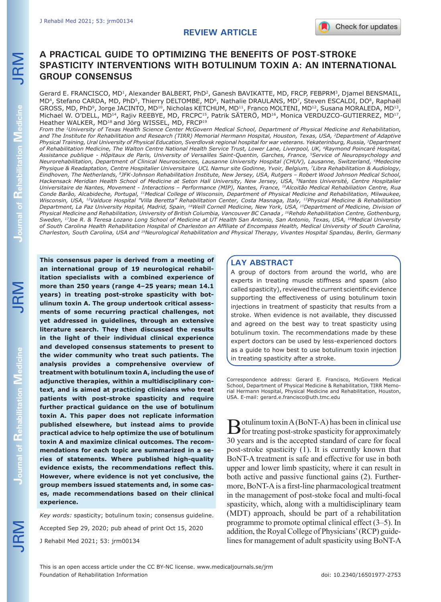## **REVIEW ARTICLE**

# **A PRACTICAL GUIDE TO OPTIMIZING THE BENEFITS OF POST-STROKE SPASTICITY INTERVENTIONS WITH BOTULINUM TOXIN A: AN INTERNATIONAL GROUP CONSENSUS**

Gerard E. FRANCISCO, MD<sup>1</sup>, Alexander BALBERT, PhD<sup>2</sup>, Ganesh BAVIKATTE, MD, FRCP, FEBPRM<sup>3</sup>, Djamel BENSMAIL, MD<sup>4</sup>, Stefano CARDA, MD, PhD<sup>5</sup>, Thierry DELTOMBE, MD<sup>6</sup>, Nathalie DRAULANS, MD<sup>7</sup>, Steven ESCALDI, DO<sup>8</sup>, Raphaël GROSS, MD, PhD<sup>9</sup>, Jorge JACINTO, MD<sup>10</sup>, Nicholas KETCHUM, MD<sup>11</sup>, Franco MOLTENI, MD<sup>12</sup>, Susana MORALEDA, MD<sup>13</sup>, Michael W. O'DELL, MD<sup>14</sup>, Rajiv REEBYE, MD, FRCPC<sup>15</sup>, Patrik SÄTERÖ, MD<sup>16</sup>, Monica VERDUZCO-GUTIERREZ, MD<sup>17</sup>, Heather WALKER, MD<sup>18</sup> and Jörg WISSEL, MD, FRCP<sup>19</sup>

*From the 1University of Texas Health Science Center McGovern Medical School, Department of Physical Medicine and Rehabilitation, and The Institute for Rehabilitation and Research (TIRR) Memorial Hermann Hospital, Houston, Texas, USA, 2Department of Adaptive Physical Training, Ural University of Physical Education, Sverdlovsk regional hospital for war veterans. Yekaterinburg, Russia, 3Department of Rehabilitation Medicine, The Walton Centre National Health Service Trust, Lower Lane, Liverpool, UK, 4Raymond Poincaré Hospital, Assistance publique - Hôpitaux de Paris, University of Versailles Saint-Quentin, Garches, France, 5Service of Neuropsychology and Neurorehabilitation, Department of Clinical Neurosciences, Lausanne University Hospital (CHUV), Lausanne, Switzerland, 6Medecine Physique & Readaptation, Centre Hospitalier Universitaire UCL Namur site Godinne, Yvoir, Belgium, 7Libra Rehabilitation & Audiology, Eindhoven, The Netherlands, 8JFK-Johnson Rehabilitation Institute, New Jersey, USA, Rutgers – Robert Wood Johnson Medical School, Hackensack Meridian Health School of Medicine at Seton Hall University, New Jersey, USA, 9Nantes Université, Centre Hospitalier Universitaire de Nantes, Movement - Interactions – Performance (MIP), Nantes, France, 10Alcoitão Medical Rehabiliation Centre, Rua Conde Barão, Alcabideche, Portugal, 11Medical College of Wisconsin, Department of Physical Medicine and Rehabilitation, Milwaukee, Wisconsin, USA, 12Valduce Hospital "Villa Beretta" Rehabilitation Center, Costa Masnaga, Italy, 13Physical Medicine & Rehabilitation Department, La Paz University Hopital, Madrid, Spain, 14Weill Cornell Medicine, New York, USA, 15Department of Medicine, Division of Physical Medicine and Rehabilitation, University of British Columbia, Vancouver BC Canada , 16Rehdo Rehabilitation Centre, Gothenburg, Sweden, 17Joe R. & Teresa Lozano Long School of Medicine at UT Health San Antonio, San Antonio, Texas, USA, 18Medical University of South Carolina Health Rehabilitation Hospital of Charleston an Affiliate of Encompass Health, Medical University of South Carolina, Charleston, South Carolina, USA and 19Neurological Rehabilitation and Physical Therapy, Vivantes Hospital Spandau, Berlin, Germany* 

**This consensus paper is derived from a meeting of an international group of 19 neurological rehabilitation specialists with a combined experience of more than 250 years (range 4–25 years; mean 14.1 years) in treating post-stroke spasticity with botulinum toxin A. The group undertook critical assessments of some recurring practical challenges, not yet addressed in guidelines, through an extensive literature search. They then discussed the results in the light of their individual clinical experience and developed consensus statements to present to the wider community who treat such patients. The analysis provides a comprehensive overview of treatment with botulinum toxin A, including the use of adjunctive therapies, within a multidisciplinary context, and is aimed at practicing clinicians who treat patients with post-stroke spasticity and require further practical guidance on the use of botulinum toxin A. This paper does not replicate information published elsewhere, but instead aims to provide practical advice to help optimize the use of botulinum toxin A and maximize clinical outcomes. The recommendations for each topic are summarized in a series of statements. Where published high-quality evidence exists, the recommendations reflect this. However, where evidence is not yet conclusive, the group members issued statements and, in some cases, made recommendations based on their clinical experience.** 

*Key words:* spasticity; botulinum toxin; consensus guideline. Accepted Sep 29, 2020; pub ahead of print Oct 15, 2020 J Rehabil Med 2021; 53: jrm00134

## **LAY ABSTRACT**

A group of doctors from around the world, who are experts in treating muscle stiffness and spasm (also called spasticity), reviewed the current scientific evidence supporting the effectiveness of using botulinum toxin injections in treatment of spasticity that results from a stroke. When evidence is not available, they discussed and agreed on the best way to treat spasticity using botulinum toxin. The recommendations made by these expert doctors can be used by less-experienced doctors as a guide to how best to use botulinum toxin injection in treating spasticity after a stroke.

Correspondence address: Gerard E. Francisco, McGovern Medical School, Department of Physical Medicine & Rehabilitation, TIRR Memorial Hermann Hospital, Physical Medicine and Rehabilitation, Houston, USA. E-mail: gerard.e.francisco@uth.tmc.edu

**B**otulinum toxin A (BoNT-A) has been in clinical use<br>for treating post-stroke spasticity for approximately 30 years and is the accepted standard of care for focal post-stroke spasticity (1). It is currently known that BoNT-A treatment is safe and effective for use in both upper and lower limb spasticity, where it can result in both active and passive functional gains (2). Furthermore, BoNT-A is a first-line pharmacological treatment in the management of post-stoke focal and multi-focal spasticity, which, along with a multidisciplinary team (MDT) approach, should be part of a rehabilitation programme to promote optimal clinical effect (3–5). In addition, the Royal College of Physicians' (RCP) guidelines for management of adult spasticity using BoNT-A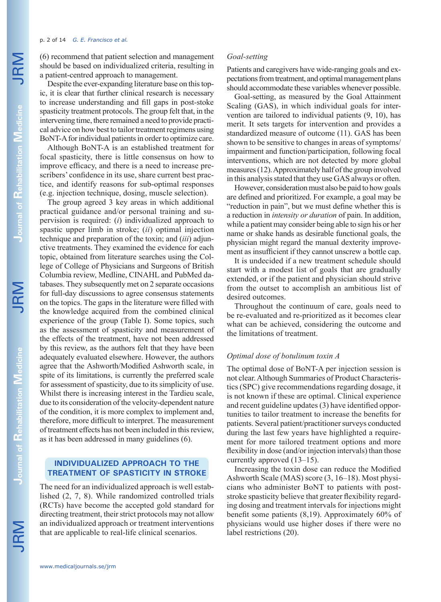#### p. 2 of 14 *G. E. Francisco et al.*

(6) recommend that patient selection and management should be based on individualized criteria, resulting in a patient-centred approach to management.

Despite the ever-expanding literature base on this topic, it is clear that further clinical research is necessary to increase understanding and fill gaps in post-stoke spasticity treatment protocols. The group felt that, in the intervening time, there remained a need to provide practical advice on how best to tailor treatment regimens using BoNT-A for individual patients in order to optimize care.

Although BoNT-A is an established treatment for focal spasticity, there is little consensus on how to improve efficacy, and there is a need to increase prescribers' confidence in its use, share current best practice, and identify reasons for sub-optimal responses (e.g. injection technique, dosing, muscle selection).

The group agreed 3 key areas in which additional practical guidance and/or personal training and supervision is required: (*i*) individualized approach to spastic upper limb in stroke; (*ii*) optimal injection technique and preparation of the toxin; and (*iii*) adjunctive treatments. They examined the evidence for each topic, obtained from literature searches using the College of College of Physicians and Surgeons of British Columbia review, Medline, CINAHL and PubMed databases. They subsequently met on 2 separate occasions for full-day discussions to agree consensus statements on the topics. The gaps in the literature were filled with the knowledge acquired from the combined clinical experience of the group (Table I). Some topics, such as the assessment of spasticity and measurement of the effects of the treatment, have not been addressed by this review, as the authors felt that they have been adequately evaluated elsewhere. However, the authors agree that the Ashworth/Modified Ashworth scale, in spite of its limitations, is currently the preferred scale for assessment of spasticity, due to its simplicity of use. Whilst there is increasing interest in the Tardieu scale, due to its consideration of the velocity-dependent nature of the condition, it is more complex to implement and, therefore, more difficult to interpret. The measurement of treatment effects has not been included in this review, as it has been addressed in many guidelines (6).

## **INDIVIDUALIZED APPROACH TO THE TREATMENT OF SPASTICITY IN STROKE**

The need for an individualized approach is well established (2, 7, 8). While randomized controlled trials (RCTs) have become the accepted gold standard for directing treatment, their strict protocols may not allow an individualized approach or treatment interventions that are applicable to real-life clinical scenarios.

## *Goal-setting*

Patients and caregivers have wide-ranging goals and expectations from treatment, and optimal management plans should accommodate these variables whenever possible.

Goal-setting, as measured by the Goal Attainment Scaling (GAS), in which individual goals for intervention are tailored to individual patients (9, 10), has merit. It sets targets for intervention and provides a standardized measure of outcome (11). GAS has been shown to be sensitive to changes in areas of symptoms/ impairment and function/participation, following focal interventions, which are not detected by more global measures (12). Approximately half of the group involved in this analysis stated that they use GAS always or often.

However, consideration must also be paid to how goals are defined and prioritized. For example, a goal may be "reduction in pain", but we must define whether this is a reduction in *intensity or duration* of pain. In addition, while a patient may consider being able to sign his or her name or shake hands as desirable functional goals, the physician might regard the manual dexterity improvement as insufficient if they cannot unscrew a bottle cap.

It is undecided if a new treatment schedule should start with a modest list of goals that are gradually extended, or if the patient and physician should strive from the outset to accomplish an ambitious list of desired outcomes.

Throughout the continuum of care, goals need to be re-evaluated and re-prioritized as it becomes clear what can be achieved, considering the outcome and the limitations of treatment.

### *Optimal dose of botulinum toxin A*

The optimal dose of BoNT-A per injection session is not clear. Although Summaries of Product Characteristics (SPC) give recommendations regarding dosage, it is not known if these are optimal. Clinical experience and recent guideline updates (3) have identified opportunities to tailor treatment to increase the benefits for patients. Several patient/practitioner surveys conducted during the last few years have highlighted a requirement for more tailored treatment options and more flexibility in dose (and/or injection intervals) than those currently approved (13–15).

Increasing the toxin dose can reduce the Modified Ashworth Scale (MAS) score (3, 16–18). Most physicians who administer BoNT to patients with poststroke spasticity believe that greater flexibility regarding dosing and treatment intervals for injections might benefit some patients (8,19). Approximately 60% of physicians would use higher doses if there were no label restrictions (20).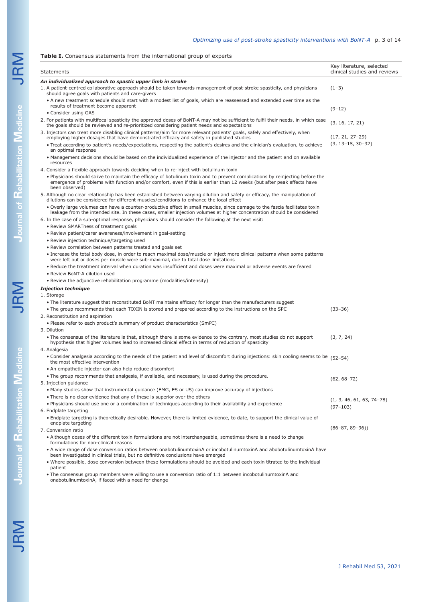### Table I. Consensus statements from the international group of experts

|                                                            | Statements                                                                                                                                                                                                                                                                                                                                                                       | Key literature, selected<br>clinical studies and reviews |  |  |  |  |
|------------------------------------------------------------|----------------------------------------------------------------------------------------------------------------------------------------------------------------------------------------------------------------------------------------------------------------------------------------------------------------------------------------------------------------------------------|----------------------------------------------------------|--|--|--|--|
| An individualized approach to spastic upper limb in stroke |                                                                                                                                                                                                                                                                                                                                                                                  |                                                          |  |  |  |  |
|                                                            | 1. A patient-centred collaborative approach should be taken towards management of post-stroke spasticity, and physicians<br>should agree goals with patients and care-givers                                                                                                                                                                                                     | $(1-3)$                                                  |  |  |  |  |
|                                                            | • A new treatment schedule should start with a modest list of goals, which are reassessed and extended over time as the                                                                                                                                                                                                                                                          |                                                          |  |  |  |  |
|                                                            | results of treatment become apparent<br>• Consider using GAS                                                                                                                                                                                                                                                                                                                     | $(9-12)$                                                 |  |  |  |  |
|                                                            | 2. For patients with multifocal spasticity the approved doses of BoNT-A may not be sufficient to fulfil their needs, in which case<br>the goals should be reviewed and re-prioritized considering patient needs and expectations                                                                                                                                                 | (3, 16, 17, 21)                                          |  |  |  |  |
|                                                            | 3. Injectors can treat more disabling clinical patterns/aim for more relevant patients' goals, safely and effectively, when<br>employing higher dosages that have demonstrated efficacy and safety in published studies<br>. Treat according to patient's needs/expectations, respecting the patient's desires and the clinician's evaluation, to achieve<br>an optimal response | $(17, 21, 27-29)$<br>$(3, 13-15, 30-32)$                 |  |  |  |  |
|                                                            | • Management decisions should be based on the individualized experience of the injector and the patient and on available<br>resources                                                                                                                                                                                                                                            |                                                          |  |  |  |  |
|                                                            | 4. Consider a flexible approach towards deciding when to re-inject with botulinum toxin                                                                                                                                                                                                                                                                                          |                                                          |  |  |  |  |
|                                                            | . Physicians should strive to maintain the efficacy of botulinum toxin and to prevent complications by reinjecting before the<br>emergence of problems with function and/or comfort, even if this is earlier than 12 weeks (but after peak effects have<br>been observed)                                                                                                        |                                                          |  |  |  |  |
|                                                            | 5. Although no clear relationship has been established between varying dilution and safety or efficacy, the manipulation of<br>dilutions can be considered for different muscles/conditions to enhance the local effect                                                                                                                                                          |                                                          |  |  |  |  |
|                                                            | . Overly large volumes can have a counter-productive effect in small muscles, since damage to the fascia facilitates toxin<br>leakage from the intended site. In these cases, smaller injection volumes at higher concentration should be considered                                                                                                                             |                                                          |  |  |  |  |
|                                                            | 6. In the case of a sub-optimal response, physicians should consider the following at the next visit:<br>• Review SMARTness of treatment goals                                                                                                                                                                                                                                   |                                                          |  |  |  |  |
|                                                            | • Review patient/carer awareness/involvement in goal-setting                                                                                                                                                                                                                                                                                                                     |                                                          |  |  |  |  |
|                                                            | • Review injection technique/targeting used                                                                                                                                                                                                                                                                                                                                      |                                                          |  |  |  |  |
|                                                            | • Review correlation between patterns treated and goals set                                                                                                                                                                                                                                                                                                                      |                                                          |  |  |  |  |
|                                                            | • Increase the total body dose, in order to reach maximal dose/muscle or inject more clinical patterns when some patterns                                                                                                                                                                                                                                                        |                                                          |  |  |  |  |
|                                                            | were left out or doses per muscle were sub-maximal, due to total dose limitations<br>. Reduce the treatment interval when duration was insufficient and doses were maximal or adverse events are feared                                                                                                                                                                          |                                                          |  |  |  |  |
|                                                            | • Review BoNT-A dilution used                                                                                                                                                                                                                                                                                                                                                    |                                                          |  |  |  |  |
|                                                            | • Review the adjunctive rehabilitation programme (modalities/intensity)                                                                                                                                                                                                                                                                                                          |                                                          |  |  |  |  |
|                                                            |                                                                                                                                                                                                                                                                                                                                                                                  |                                                          |  |  |  |  |
|                                                            | <b>Injection technique</b>                                                                                                                                                                                                                                                                                                                                                       |                                                          |  |  |  |  |
|                                                            | 1. Storage                                                                                                                                                                                                                                                                                                                                                                       |                                                          |  |  |  |  |
|                                                            | • The literature suggest that reconstituted BoNT maintains efficacy for longer than the manufacturers suggest                                                                                                                                                                                                                                                                    |                                                          |  |  |  |  |
|                                                            | • The group recommends that each TOXIN is stored and prepared according to the instructions on the SPC                                                                                                                                                                                                                                                                           | $(33 - 36)$                                              |  |  |  |  |
|                                                            | 2. Reconstitution and aspiration                                                                                                                                                                                                                                                                                                                                                 |                                                          |  |  |  |  |
|                                                            | . Please refer to each product's summary of product characteristics (SmPC)<br>3. Dilution                                                                                                                                                                                                                                                                                        |                                                          |  |  |  |  |
|                                                            | . The consensus of the literature is that, although there is some evidence to the contrary, most studies do not support<br>hypothesis that higher volumes lead to increased clinical effect in terms of reduction of spasticity<br>4. Analgesia                                                                                                                                  | (3, 7, 24)                                               |  |  |  |  |
|                                                            | • Consider analgesia according to the needs of the patient and level of discomfort during injections: skin cooling seems to be $(52-54)$<br>the most effective intervention                                                                                                                                                                                                      |                                                          |  |  |  |  |
|                                                            | • An empathetic injector can also help reduce discomfort                                                                                                                                                                                                                                                                                                                         |                                                          |  |  |  |  |
|                                                            | . The group recommends that analgesia, if available, and necessary, is used during the procedure.                                                                                                                                                                                                                                                                                |                                                          |  |  |  |  |
|                                                            | 5. Injection guidance                                                                                                                                                                                                                                                                                                                                                            | $(62, 68-72)$                                            |  |  |  |  |
|                                                            | • Many studies show that instrumental quidance (EMG, ES or US) can improve accuracy of injections                                                                                                                                                                                                                                                                                |                                                          |  |  |  |  |
|                                                            |                                                                                                                                                                                                                                                                                                                                                                                  |                                                          |  |  |  |  |
|                                                            | • There is no clear evidence that any of these is superior over the others                                                                                                                                                                                                                                                                                                       | $(1, 3, 46, 61, 63, 74-78)$                              |  |  |  |  |
|                                                            | • Physicians should use one or a combination of techniques according to their availability and experience                                                                                                                                                                                                                                                                        | $(97-103)$                                               |  |  |  |  |
|                                                            | 6. Endplate targeting<br>. Endplate targeting is theoretically desirable. However, there is limited evidence, to date, to support the clinical value of                                                                                                                                                                                                                          |                                                          |  |  |  |  |
|                                                            | endplate targeting                                                                                                                                                                                                                                                                                                                                                               | $(86-87, 89-96)$                                         |  |  |  |  |
|                                                            | 7. Conversion ratio                                                                                                                                                                                                                                                                                                                                                              |                                                          |  |  |  |  |
|                                                            | . Although doses of the different toxin formulations are not interchangeable, sometimes there is a need to change<br>formulations for non-clinical reasons                                                                                                                                                                                                                       |                                                          |  |  |  |  |
|                                                            | • A wide range of dose conversion ratios between onabotulinumtoxinA or incobotulinumtoxinA and abobotulinumtoxinA have<br>been investigated in clinical trials, but no definitive conclusions have emerged                                                                                                                                                                       |                                                          |  |  |  |  |
|                                                            | . Where possible, dose conversion between these formulations should be avoided and each toxin titrated to the individual<br>patient                                                                                                                                                                                                                                              |                                                          |  |  |  |  |
|                                                            |                                                                                                                                                                                                                                                                                                                                                                                  |                                                          |  |  |  |  |

• The consensus group members were willing to use a conversion ratio of 1:1 between incobotulinumtoxinA and onabotulinumtoxinA, if faced with a need for change

**Journal of** 

**Rehabilitation Journal of Rehabilitation Medicine**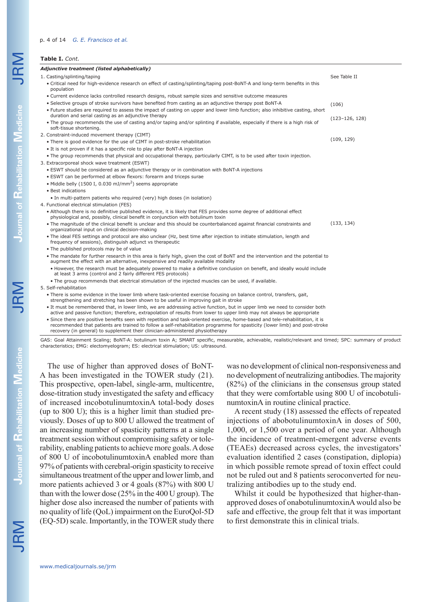#### p. 4 of 14 *G. E. Francisco et al.*

## **Table I.** *Cont.*

#### *Adjunctive treatment (listed alphabetically)* 1. Casting/splinting/taping • Critical need for high-evidence research on effect of casting/splinting/taping post-BoNT-A and long-term benefits in this population • Current evidence lacks controlled research designs, robust sample sizes and sensitive outcome measures • Selective groups of stroke survivors have benefited from casting as an adjunctive therapy post BoNT-A • Future studies are required to assess the impact of casting on upper and lower limb function; also inhibitive casting, short duration and serial casting as an adjunctive therapy • The group recommends the use of casting and/or taping and/or splinting if available, especially if there is a high risk of soft-tissue shortening. 2. Constraint-induced movement therapy (CIMT) • There is good evidence for the use of CIMT in post-stroke rehabilitation • It is not proven if it has a specific role to play after BoNT-A injection • The group recommends that physical and occupational therapy, particularly CIMT, is to be used after toxin injection. 3. Extracorporeal shock wave treatment (ESWT) • ESWT should be considered as an adjunctive therapy or in combination with BoNT-A injections • ESWT can be performed at elbow flexors: forearm and triceps surae • Middle belly (1500 I, 0.030 mJ/mm2) seems appropriate • Best indications • In multi-pattern patients who required (very) high doses (in isolation) 4. Functional electrical stimulation (FES) • Although there is no definitive published evidence, it is likely that FES provides some degree of additional effect physiological and, possibly, clinical benefit in conjunction with botulinum toxin • The magnitude of the clinical benefit is unclear and this should be counterbalanced against financial constraints and organizational input on clinical decision-making • The ideal FES settings and protocol are also unclear (Hz, best time after injection to initiate stimulation, length and frequency of sessions), distinguish adjunct vs therapeutic • The published protocols may be of value • The mandate for further research in this area is fairly high, given the cost of BoNT and the intervention and the potential to augment the effect with an alternative, inexpensive and readily available modality • However, the research must be adequately powered to make a definitive conclusion on benefit, and ideally would include at least 3 arms (control and 2 fairly different FES protocols) • The group recommends that electrical stimulation of the injected muscles can be used, if available. 5. Self-rehabilitation • There is some evidence in the lower limb where task-oriented exercise focusing on balance control, transfers, gait, strengthening and stretching has been shown to be useful in improving gait in stroke • It must be remembered that, in lower limb, we are addressing active function, but in upper limb we need to consider both active and passive function; therefore, extrapolation of results from lower to upper limb may not always be appropriate • Since there are positive benefits seen with repetition and task-oriented exercise, home-based and tele-rehabilitation, it is See Table II (106) (123–126, 128)  $(109, 129)$ (133, 134)

recommended that patients are trained to follow a self-rehabilitation programme for spasticity (lower limb) and post-stroke recovery (in general) to supplement their clinician-administered physiotherapy

GAS: Goal Attainment Scaling; BoNT-A: botulinum toxin A; SMART specific, measurable, achievable, realistic/relevant and timed; SPC: summary of product characteristics; EMG: electomyelogram; ES: electrical stimulation; US: ultrasound.

The use of higher than approved doses of BoNT-A has been investigated in the TOWER study (21). This prospective, open-label, single-arm, multicentre, dose-titration study investigated the safety and efficacy of increased incobotulinumtoxinA total-body doses (up to 800 U); this is a higher limit than studied previously. Doses of up to 800 U allowed the treatment of an increasing number of spasticity patterns at a single treatment session without compromising safety or tolerability, enabling patients to achieve more goals. A dose of 800 U of incobotulinumtoxinA enabled more than 97% of patients with cerebral-origin spasticity to receive simultaneous treatment of the upper and lower limb, and more patients achieved 3 or 4 goals (87%) with 800 U than with the lower dose (25% in the 400 U group). The higher dose also increased the number of patients with no quality of life (QoL) impairment on the EuroQol-5D (EQ-5D) scale. Importantly, in the TOWER study there

was no development of clinical non-responsiveness and no development of neutralizing antibodies. The majority (82%) of the clinicians in the consensus group stated that they were comfortable using 800 U of incobotulinumtoxinA in routine clinical practice.

A recent study (18) assessed the effects of repeated injections of abobotulinumtoxinA in doses of 500, 1,000, or 1,500 over a period of one year. Although the incidence of treatment-emergent adverse events (TEAEs) decreased across cycles, the investigators' evaluation identified 2 cases (constipation, diplopia) in which possible remote spread of toxin effect could not be ruled out and 8 patients seroconverted for neutralizing antibodies up to the study end.

Whilst it could be hypothesized that higher-thanapproved doses of onabotulinumtoxinA would also be safe and effective, the group felt that it was important to first demonstrate this in clinical trials.

**Journal of**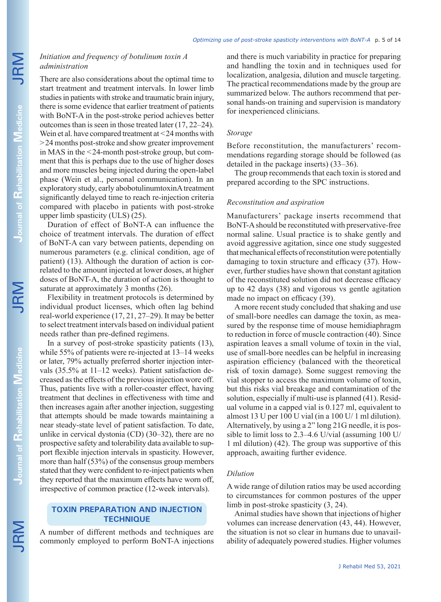## *Initiation and frequency of botulinum toxin A administration*

There are also considerations about the optimal time to start treatment and treatment intervals. In lower limb studies in patients with stroke and traumatic brain injury, there is some evidence that earlier treatment of patients with BoNT-A in the post-stroke period achieves better outcomes than is seen in those treated later (17, 22–24). Wein et al. have compared treatment at <24 months with >24 months post-stroke and show greater improvement in MAS in the <24-month post-stroke group, but comment that this is perhaps due to the use of higher doses and more muscles being injected during the open-label phase (Wein et al., personal communication). In an exploratory study, early abobotulinumtoxinA treatment significantly delayed time to reach re-injection criteria compared with placebo in patients with post-stroke upper limb spasticity (ULS) (25).

Duration of effect of BoNT-A can influence the choice of treatment intervals. The duration of effect of BoNT-A can vary between patients, depending on numerous parameters (e.g. clinical condition, age of patient) (13). Although the duration of action is correlated to the amount injected at lower doses, at higher doses of BoNT-A, the duration of action is thought to saturate at approximately 3 months (26).

Flexibility in treatment protocols is determined by individual product licenses, which often lag behind real-world experience (17, 21, 27–29). It may be better to select treatment intervals based on individual patient needs rather than pre-defined regimens.

In a survey of post-stroke spasticity patients (13), while 55% of patients were re-injected at 13–14 weeks or later, 79% actually preferred shorter injection intervals (35.5% at 11–12 weeks). Patient satisfaction decreased as the effects of the previous injection wore off. Thus, patients live with a roller-coaster effect, having treatment that declines in effectiveness with time and then increases again after another injection, suggesting that attempts should be made towards maintaining a near steady-state level of patient satisfaction. To date, unlike in cervical dystonia (CD) (30–32), there are no prospective safety and tolerability data available to support flexible injection intervals in spasticity. However, more than half (53%) of the consensus group members stated that they were confident to re-inject patients when they reported that the maximum effects have worn off, irrespective of common practice (12-week intervals).

## **TOXIN PREPARATION AND INJECTION TECHNIQUE**

A number of different methods and techniques are commonly employed to perform BoNT-A injections and there is much variability in practice for preparing and handling the toxin and in techniques used for localization, analgesia, dilution and muscle targeting. The practical recommendations made by the group are summarized below. The authors recommend that personal hands-on training and supervision is mandatory for inexperienced clinicians.

## *Storage*

Before reconstitution, the manufacturers' recommendations regarding storage should be followed (as detailed in the package inserts) (33–36).

The group recommends that each toxin is stored and prepared according to the SPC instructions.

## *Reconstitution and aspiration*

Manufacturers' package inserts recommend that BoNT-A should be reconstituted with preservative-free normal saline. Usual practice is to shake gently and avoid aggressive agitation, since one study suggested that mechanical effects of reconstitution were potentially damaging to toxin structure and efficacy (37). However, further studies have shown that constant agitation of the reconstituted solution did not decrease efficacy up to 42 days (38) and vigorous vs gentle agitation made no impact on efficacy (39).

A more recent study concluded that shaking and use of small-bore needles can damage the toxin, as measured by the response time of mouse hemidiaphragm to reduction in force of muscle contraction (40). Since aspiration leaves a small volume of toxin in the vial, use of small-bore needles can be helpful in increasing aspiration efficiency (balanced with the theoretical risk of toxin damage). Some suggest removing the vial stopper to access the maximum volume of toxin, but this risks vial breakage and contamination of the solution, especially if multi-use is planned (41). Residual volume in a capped vial is 0.127 ml, equivalent to almost 13 U per 100 U vial (in a 100 U/ 1 ml dilution). Alternatively, by using a 2" long 21G needle, it is possible to limit loss to 2.3–4.6 U/vial (assuming 100 U/ 1 ml dilution) (42). The group was supportive of this approach, awaiting further evidence.

## *Dilution*

A wide range of dilution ratios may be used according to circumstances for common postures of the upper limb in post-stroke spasticity (3, 24).

Animal studies have shown that injections of higher volumes can increase denervation (43, 44). However, the situation is not so clear in humans due to unavailability of adequately powered studies. Higher volumes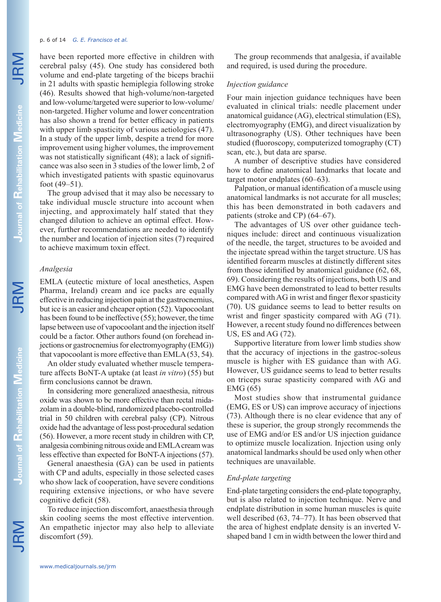#### p. 6 of 14 *G. E. Francisco et al.*

have been reported more effective in children with cerebral palsy (45). One study has considered both volume and end-plate targeting of the biceps brachii in 21 adults with spastic hemiplegia following stroke (46). Results showed that high-volume/non-targeted and low-volume/targeted were superior to low-volume/ non-targeted. Higher volume and lower concentration has also shown a trend for better efficacy in patients with upper limb spasticity of various aetiologies (47). In a study of the upper limb, despite a trend for more improvement using higher volumes, the improvement was not statistically significant (48); a lack of significance was also seen in 3 studies of the lower limb, 2 of which investigated patients with spastic equinovarus foot (49–51).

The group advised that it may also be necessary to take individual muscle structure into account when injecting, and approximately half stated that they changed dilution to achieve an optimal effect. However, further recommendations are needed to identify the number and location of injection sites (7) required to achieve maximum toxin effect.

## *Analgesia*

EMLA (eutectic mixture of local anesthetics, Aspen Pharma, Ireland) cream and ice packs are equally effective in reducing injection pain at the gastrocnemius, but ice is an easier and cheaper option (52). Vapocoolant has been found to be ineffective (55); however, the time lapse between use of vapocoolant and the injection itself could be a factor. Other authors found (on forehead injections or gastrocnemius for electromyography (EMG)) that vapocoolant is more effective than EMLA (53, 54).

An older study evaluated whether muscle temperature affects BoNT-A uptake (at least *in vitro*) (55) but firm conclusions cannot be drawn.

In considering more generalized anaesthesia, nitrous oxide was shown to be more effective than rectal midazolam in a double-blind, randomized placebo-controlled trial in 50 children with cerebral palsy (CP). Nitrous oxide had the advantage of less post-procedural sedation (56). However, a more recent study in children with CP, analgesia combining nitrous oxide and EMLA cream was less effective than expected for BoNT-A injections (57).

General anaesthesia (GA) can be used in patients with CP and adults, especially in those selected cases who show lack of cooperation, have severe conditions requiring extensive injections, or who have severe cognitive deficit (58).

To reduce injection discomfort, anaesthesia through skin cooling seems the most effective intervention. An empathetic injector may also help to alleviate discomfort (59).

The group recommends that analgesia, if available and required, is used during the procedure.

## *Injection guidance*

Four main injection guidance techniques have been evaluated in clinical trials: needle placement under anatomical guidance (AG), electrical stimulation (ES), electromyography (EMG), and direct visualization by ultrasonography (US). Other techniques have been studied (fluoroscopy, computerized tomography (CT) scan, etc.), but data are sparse.

A number of descriptive studies have considered how to define anatomical landmarks that locate and target motor endplates (60–63).

Palpation, or manual identification of a muscle using anatomical landmarks is not accurate for all muscles; this has been demonstrated in both cadavers and patients (stroke and CP) (64–67).

The advantages of US over other guidance techniques include: direct and continuous visualization of the needle, the target, structures to be avoided and the injectate spread within the target structure. US has identified forearm muscles at distinctly different sites from those identified by anatomical guidance (62, 68, 69). Considering the results of injections, both US and EMG have been demonstrated to lead to better results compared with AG in wrist and finger flexor spasticity (70). US guidance seems to lead to better results on wrist and finger spasticity compared with AG (71). However, a recent study found no differences between US, ES and AG (72).

Supportive literature from lower limb studies show that the accuracy of injections in the gastroc-soleus muscle is higher with ES guidance than with AG. However, US guidance seems to lead to better results on triceps surae spasticity compared with AG and EMG (65)

Most studies show that instrumental guidance (EMG, ES or US) can improve accuracy of injections (73). Although there is no clear evidence that any of these is superior, the group strongly recommends the use of EMG and/or ES and/or US injection guidance to optimize muscle localization. Injection using only anatomical landmarks should be used only when other techniques are unavailable.

## *End-plate targeting*

End-plate targeting considers the end-plate topography, but is also related to injection technique. Nerve and endplate distribution in some human muscles is quite well described (63, 74–77). It has been observed that the area of highest endplate density is an inverted Vshaped band 1 cm in width between the lower third and

**Journal of**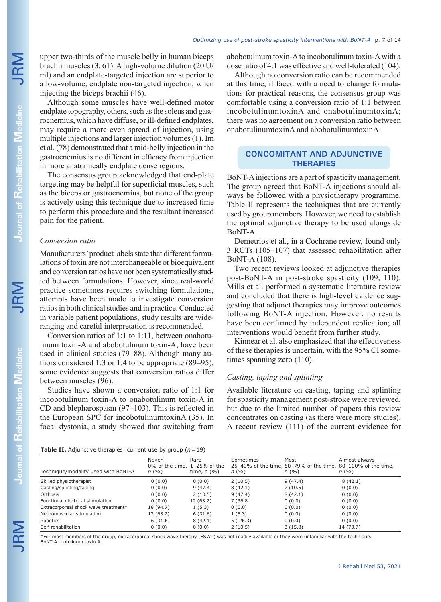upper two-thirds of the muscle belly in human biceps brachii muscles (3, 61). A high-volume dilution (20 U/ ml) and an endplate-targeted injection are superior to a low-volume, endplate non-targeted injection, when injecting the biceps brachii (46).

Although some muscles have well-defined motor endplate topography, others, such as the soleus and gastrocnemius, which have diffuse, or ill-defined endplates, may require a more even spread of injection, using multiple injections and larger injection volumes (1). Im et al. (78) demonstrated that a mid-belly injection in the gastrocnemius is no different in efficacy from injection in more anatomically endplate dense regions.

The consensus group acknowledged that end-plate targeting may be helpful for superficial muscles, such as the biceps or gastrocnemius, but none of the group is actively using this technique due to increased time to perform this procedure and the resultant increased pain for the patient.

## *Conversion ratio*

Manufacturers' product labels state that different formulations of toxin are not interchangeable or bioequivalent and conversion ratios have not been systematically studied between formulations. However, since real-world practice sometimes requires switching formulations, attempts have been made to investigate conversion ratios in both clinical studies and in practice. Conducted in variable patient populations, study results are wideranging and careful interpretation is recommended.

Conversion ratios of 1:1 to 1:11, between onabotulinum toxin-A and abobotulinum toxin-A, have been used in clinical studies (79–88). Although many authors considered 1:3 or 1:4 to be appropriate (89–95), some evidence suggests that conversion ratios differ between muscles (96).

Studies have shown a conversion ratio of 1:1 for incobotulinum toxin-A to onabotulinum toxin-A in CD and blepharospasm (97–103). This is reflected in the European SPC for incobotulinumtoxinA (35). In focal dystonia, a study showed that switching from abobotulinum toxin-A to incobotulinum toxin-A with a dose ratio of 4:1 was effective and well-tolerated (104).

Although no conversion ratio can be recommended at this time, if faced with a need to change formulations for practical reasons, the consensus group was comfortable using a conversion ratio of 1:1 between incobotulinumtoxinA and onabotulinumtoxinA; there was no agreement on a conversion ratio between onabotulinumtoxinA and abobotulinumtoxinA.

## **CONCOMITANT AND ADJUNCTIVE THERAPIES**

BoNT-A injections are a part of spasticity management. The group agreed that BoNT-A injections should always be followed with a physiotherapy programme. Table II represents the techniques that are currently used by group members. However, we need to establish the optimal adjunctive therapy to be used alongside BoNT-A.

Demetrios et al., in a Cochrane review, found only 3 RCTs (105–107) that assessed rehabilitation after BoNT-A (108).

Two recent reviews looked at adjunctive therapies post-BoNT-A in post-stroke spasticity (109, 110). Mills et al. performed a systematic literature review and concluded that there is high-level evidence suggesting that adjunct therapies may improve outcomes following BoNT-A injection. However, no results have been confirmed by independent replication; all interventions would benefit from further study.

Kinnear et al. also emphasized that the effectiveness of these therapies is uncertain, with the 95% CI sometimes spanning zero (110).

## *Casting, taping and splinting*

Available literature on casting, taping and splinting for spasticity management post-stroke were reviewed, but due to the limited number of papers this review concentrates on casting (as there were more studies). A recent review (111) of the current evidence for

|  | <b>Table II.</b> Adjunctive therapies: current use by group $(n = 19)$ |  |  |
|--|------------------------------------------------------------------------|--|--|

|                                      | Never<br>0% of the time, $1-25%$ of the | Rare          | Sometimes | Most    | Almost always<br>25-49% of the time, 50-79% of the time, 80-100% of the time, |
|--------------------------------------|-----------------------------------------|---------------|-----------|---------|-------------------------------------------------------------------------------|
| Technique/modality used with BoNT-A  | n(%)                                    | time, $n$ (%) | n(%)      | n(%)    | n(%)                                                                          |
| Skilled physiotherapist              | 0(0.0)                                  | 0(0.0)        | 2(10.5)   | 9(47.4) | 8(42.1)                                                                       |
| Casting/splinting/taping             | 0(0.0)                                  | 9(47.4)       | 8(42.1)   | 2(10.5) | 0(0.0)                                                                        |
| Orthosis                             | 0(0.0)                                  | 2(10.5)       | 9(47.4)   | 8(42.1) | 0(0.0)                                                                        |
| Functional electrical stimulation    | 0(0.0)                                  | 12(63.2)      | 7 (36.8)  | 0(0.0)  | 0(0.0)                                                                        |
| Extracorporeal shock wave treatment* | 18 (94.7)                               | 1(5.3)        | 0(0.0)    | 0(0.0)  | 0(0.0)                                                                        |
| Neuromuscular stimulation            | 12 (63.2)                               | 6(31.6)       | 1(5.3)    | 0(0.0)  | 0(0.0)                                                                        |
| Robotics                             | 6(31.6)                                 | 8(42.1)       | 5(26.3)   | 0(0.0)  | 0(0.0)                                                                        |
| Self-rehabilitation                  | 0(0.0)                                  | 0(0.0)        | 2(10.5)   | 3(15.8) | 14 (73.7)                                                                     |

\*For most members of the group, extracorporeal shock wave therapy (ESWT) was not readily available or they were unfamiliar with the technique. BoNT-A: botulinum toxin A.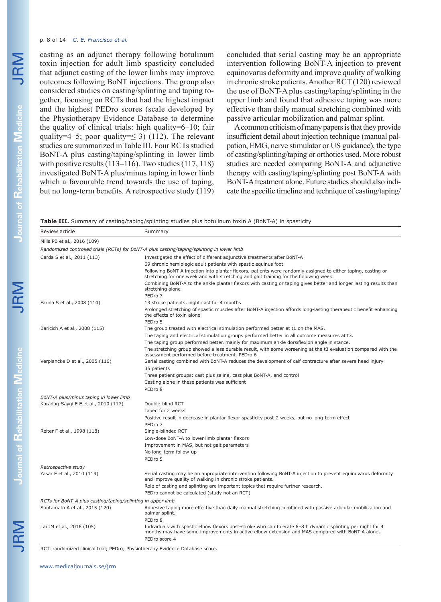#### p. 8 of 14 *G. E. Francisco et al.*

casting as an adjunct therapy following botulinum toxin injection for adult limb spasticity concluded that adjunct casting of the lower limbs may improve outcomes following BoNT injections. The group also considered studies on casting/splinting and taping together, focusing on RCTs that had the highest impact and the highest PEDro scores (scale developed by the Physiotherapy Evidence Database to determine the quality of clinical trials: high quality=6–10; fair quality=4–5; poor quality= $\leq$  3) (112). The relevant studies are summarized in Table III. Four RCTs studied BoNT-A plus casting/taping/splinting in lower limb with positive results (113–116). Two studies (117, 118) investigated BoNT-A plus/minus taping in lower limb which a favourable trend towards the use of taping, but no long-term benefits. A retrospective study (119) concluded that serial casting may be an appropriate intervention following BoNT-A injection to prevent equinovarus deformity and improve quality of walking in chronic stroke patients. Another RCT (120) reviewed the use of BoNT-A plus casting/taping/splinting in the upper limb and found that adhesive taping was more effective than daily manual stretching combined with passive articular mobilization and palmar splint.

A common criticism of many papers is that they provide insufficient detail about injection technique (manual palpation, EMG, nerve stimulator or US guidance), the type of casting/splinting/taping or orthotics used. More robust studies are needed comparing BoNT-A and adjunctive therapy with casting/taping/splinting post BoNT-A with BoNT-A treatment alone. Future studies should also indicate the specific timeline and technique of casting/taping/

**Table III.** Summary of casting/taping/splinting studies plus botulinum toxin A (BoNT-A) in spasticity

| Review article                                              | Summary                                                                                                                                                                                                                         |
|-------------------------------------------------------------|---------------------------------------------------------------------------------------------------------------------------------------------------------------------------------------------------------------------------------|
| Mills PB et al., 2016 (109)                                 |                                                                                                                                                                                                                                 |
|                                                             | Randomized controlled trials (RCTs) for BoNT-A plus casting/taping/splinting in lower limb                                                                                                                                      |
| Carda S et al., 2011 (113)                                  | Investigated the effect of different adjunctive treatments after BoNT-A                                                                                                                                                         |
|                                                             | 69 chronic hemiplegic adult patients with spastic equinus foot                                                                                                                                                                  |
|                                                             | Following BoNT-A injection into plantar flexors, patients were randomly assigned to either taping, casting or<br>stretching for one week and with stretching and gait training for the following week                           |
|                                                             | Combining BoNT-A to the ankle plantar flexors with casting or taping gives better and longer lasting results than<br>stretching alone                                                                                           |
|                                                             | PEDro 7                                                                                                                                                                                                                         |
| Farina S et al., 2008 (114)                                 | 13 stroke patients, night cast for 4 months                                                                                                                                                                                     |
|                                                             | Prolonged stretching of spastic muscles after BoNT-A injection affords long-lasting therapeutic benefit enhancing<br>the effects of toxin alone                                                                                 |
|                                                             | PEDro 5                                                                                                                                                                                                                         |
| Baricich A et al., 2008 (115)                               | The group treated with electrical stimulation performed better at t1 on the MAS.                                                                                                                                                |
|                                                             | The taping and electrical stimulation groups performed better in all outcome measures at t3.                                                                                                                                    |
|                                                             | The taping group performed better, mainly for maximum ankle dorsiflexion angle in stance.                                                                                                                                       |
|                                                             | The stretching group showed a less durable result, with some worsening at the t3 evaluation compared with the<br>assessment performed before treatment. PEDro 6                                                                 |
| Verplancke D et al., 2005 (116)                             | Serial casting combined with BoNT-A reduces the development of calf contracture after severe head injury                                                                                                                        |
|                                                             | 35 patients                                                                                                                                                                                                                     |
|                                                             | Three patient groups: cast plus saline, cast plus BoNT-A, and control                                                                                                                                                           |
|                                                             | Casting alone in these patients was sufficient                                                                                                                                                                                  |
|                                                             | PEDro 8                                                                                                                                                                                                                         |
| BoNT-A plus/minus taping in lower limb                      |                                                                                                                                                                                                                                 |
| Karadag-Saygi E E et al., 2010 (117)                        | Double-blind RCT                                                                                                                                                                                                                |
|                                                             | Taped for 2 weeks                                                                                                                                                                                                               |
|                                                             | Positive result in decrease in plantar flexor spasticity post-2 weeks, but no long-term effect                                                                                                                                  |
|                                                             | PEDro 7                                                                                                                                                                                                                         |
| Reiter F et al., 1998 (118)                                 | Single-blinded RCT                                                                                                                                                                                                              |
|                                                             | Low-dose BoNT-A to lower limb plantar flexors                                                                                                                                                                                   |
|                                                             | Improvement in MAS, but not gait parameters                                                                                                                                                                                     |
|                                                             | No long-term follow-up                                                                                                                                                                                                          |
|                                                             | PEDro 5                                                                                                                                                                                                                         |
| Retrospective study                                         |                                                                                                                                                                                                                                 |
| Yasar E et al., 2010 (119)                                  | Serial casting may be an appropriate intervention following BoNT-A injection to prevent equinovarus deformity<br>and improve quality of walking in chronic stroke patients.                                                     |
|                                                             | Role of casting and splinting are important topics that require further research.<br>PEDro cannot be calculated (study not an RCT)                                                                                              |
| RCTs for BoNT-A plus casting/taping/splinting in upper limb |                                                                                                                                                                                                                                 |
| Santamato A et al., 2015 (120)                              | Adhesive taping more effective than daily manual stretching combined with passive articular mobilization and<br>palmar splint.                                                                                                  |
|                                                             | PEDro 8                                                                                                                                                                                                                         |
| Lai JM et al., 2016 (105)                                   | Individuals with spastic elbow flexors post-stroke who can tolerate 6-8 h dynamic splinting per night for 4<br>months may have some improvements in active elbow extension and MAS compared with BoNT-A alone.<br>PEDro score 4 |

RCT: randomized clinical trial; PEDro; Physiotherapy Evidence Database score.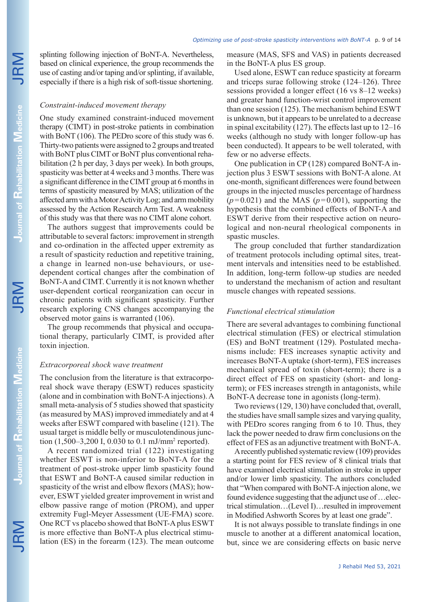JRM

splinting following injection of BoNT-A. Nevertheless, based on clinical experience, the group recommends the use of casting and/or taping and/or splinting, if available, especially if there is a high risk of soft-tissue shortening.

## *Constraint-induced movement therapy*

One study examined constraint-induced movement therapy (CIMT) in post-stroke patients in combination with BoNT (106). The PEDro score of this study was 6. Thirty-two patients were assigned to 2 groups and treated with BoNT plus CIMT or BoNT plus conventional rehabilitation (2 h per day, 3 days per week). In both groups, spasticity was better at 4 weeks and 3 months. There was a significant difference in the CIMT group at 6 months in terms of spasticity measured by MAS; utilization of the affected arm with a Motor Activity Log; and arm mobility assessed by the Action Research Arm Test. A weakness of this study was that there was no CIMT alone cohort.

The authors suggest that improvements could be attributable to several factors: improvement in strength and co-ordination in the affected upper extremity as a result of spasticity reduction and repetitive training, a change in learned non-use behaviours, or usedependent cortical changes after the combination of BoNT-A and CIMT. Currently it is not known whether user-dependent cortical reorganization can occur in chronic patients with significant spasticity. Further research exploring CNS changes accompanying the observed motor gains is warranted (106).

The group recommends that physical and occupational therapy, particularly CIMT, is provided after toxin injection.

### *Extracorporeal shock wave treatment*

The conclusion from the literature is that extracorporeal shock wave therapy (ESWT) reduces spasticity (alone and in combination with BoNT-A injections). A small meta-analysis of 5 studies showed that spasticity (as measured by MAS) improved immediately and at 4 weeks after ESWT compared with baseline (121). The usual target is middle belly or musculotendinous junction (1,500–3,200 I, 0.030 to 0.1 mJ/mm2 reported).

A recent randomized trial (122) investigating whether ESWT is non-inferior to BoNT-A for the treatment of post-stroke upper limb spasticity found that ESWT and BoNT-A caused similar reduction in spasticity of the wrist and elbow flexors (MAS); however, ESWT yielded greater improvement in wrist and elbow passive range of motion (PROM), and upper extremity Fugl-Meyer Assessment (UE-FMA) score. One RCT vs placebo showed that BoNT-A plus ESWT is more effective than BoNT-A plus electrical stimulation (ES) in the forearm (123). The mean outcome measure (MAS, SFS and VAS) in patients decreased in the BoNT-A plus ES group.

Used alone, ESWT can reduce spasticity at forearm and triceps surae following stroke (124–126). Three sessions provided a longer effect (16 vs 8–12 weeks) and greater hand function-wrist control improvement than one session (125). The mechanism behind ESWT is unknown, but it appears to be unrelated to a decrease in spinal excitability (127). The effects last up to 12–16 weeks (although no study with longer follow-up has been conducted). It appears to be well tolerated, with few or no adverse effects.

One publication in CP (128) compared BoNT-A injection plus 3 ESWT sessions with BoNT-A alone. At one-month, significant differences were found between groups in the injected muscles percentage of hardness  $(p=0.021)$  and the MAS  $(p=0.001)$ , supporting the hypothesis that the combined effects of BoNT-A and ESWT derive from their respective action on neurological and non-neural rheological components in spastic muscles.

The group concluded that further standardization of treatment protocols including optimal sites, treatment intervals and intensities need to be established. In addition, long-term follow-up studies are needed to understand the mechanism of action and resultant muscle changes with repeated sessions.

## *Functional electrical stimulation*

There are several advantages to combining functional electrical stimulation (FES) or electrical stimulation (ES) and BoNT treatment (129). Postulated mechanisms include: FES increases synaptic activity and increases BoNT-A uptake (short-term), FES increases mechanical spread of toxin (short-term); there is a direct effect of FES on spasticity (short- and longterm); or FES increases strength in antagonists, while BoNT-A decrease tone in agonists (long-term).

Two reviews (129, 130) have concluded that, overall, the studies have small sample sizes and varying quality, with PEDro scores ranging from 6 to 10. Thus, they lack the power needed to draw firm conclusions on the effect of FES as an adjunctive treatment with BoNT-A.

A recently published systematic review (109) provides a starting point for FES review of 8 clinical trials that have examined electrical stimulation in stroke in upper and/or lower limb spasticity. The authors concluded that "When compared with BoNT-A injection alone, we found evidence suggesting that the adjunct use of …electrical stimulation…(Level I)…resulted in improvement in Modified Ashworth Scores by at least one grade".

It is not always possible to translate findings in one muscle to another at a different anatomical location, but, since we are considering effects on basic nerve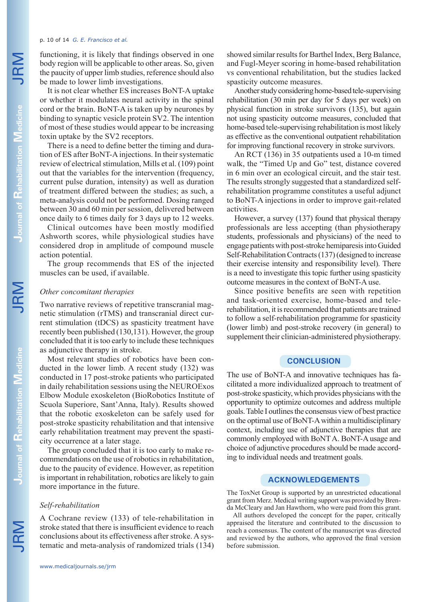#### p. 10 of 14 *G. E. Francisco et al.*

functioning, it is likely that findings observed in one body region will be applicable to other areas. So, given the paucity of upper limb studies, reference should also be made to lower limb investigations.

It is not clear whether ES increases BoNT-A uptake or whether it modulates neural activity in the spinal cord or the brain. BoNT-A is taken up by neurones by binding to synaptic vesicle protein SV2. The intention of most of these studies would appear to be increasing toxin uptake by the SV2 receptors.

There is a need to define better the timing and duration of ES after BoNT-A injections. In their systematic review of electrical stimulation, Mills et al. (109) point out that the variables for the intervention (frequency, current pulse duration, intensity) as well as duration of treatment differed between the studies; as such, a meta-analysis could not be performed. Dosing ranged between 30 and 60 min per session, delivered between once daily to 6 times daily for 3 days up to 12 weeks.

Clinical outcomes have been mostly modified Ashworth scores, while physiological studies have considered drop in amplitude of compound muscle action potential.

The group recommends that ES of the injected muscles can be used, if available.

### *Other concomitant therapies*

Two narrative reviews of repetitive transcranial magnetic stimulation (rTMS) and transcranial direct current stimulation (tDCS) as spasticity treatment have recently been published (130,131). However, the group concluded that it is too early to include these techniques as adjunctive therapy in stroke.

Most relevant studies of robotics have been conducted in the lower limb. A recent study (132) was conducted in 17 post-stroke patients who participated in daily rehabilitation sessions using the NEUROExos Elbow Module exoskeleton (BioRobotics Institute of Scuola Superiore, Sant'Anna, Italy). Results showed that the robotic exoskeleton can be safely used for post-stroke spasticity rehabilitation and that intensive early rehabilitation treatment may prevent the spasticity occurrence at a later stage.

The group concluded that it is too early to make recommendations on the use of robotics in rehabilitation, due to the paucity of evidence. However, as repetition is important in rehabilitation, robotics are likely to gain more importance in the future.

### *Self-rehabilitation*

A Cochrane review (133) of tele-rehabilitation in stroke stated that there is insufficient evidence to reach conclusions about its effectiveness after stroke. A systematic and meta-analysis of randomized trials (134) showed similar results for Barthel Index, Berg Balance, and Fugl-Meyer scoring in home-based rehabilitation vs conventional rehabilitation, but the studies lacked spasticity outcome measures.

Another study considering home-based tele-supervising rehabilitation (30 min per day for 5 days per week) on physical function in stroke survivors (135), but again not using spasticity outcome measures, concluded that home-based tele-supervising rehabilitation is most likely as effective as the conventional outpatient rehabilitation for improving functional recovery in stroke survivors.

An RCT (136) in 35 outpatients used a 10-m timed walk, the "Timed Up and Go" test, distance covered in 6 min over an ecological circuit, and the stair test. The results strongly suggested that a standardized selfrehabilitation programme constitutes a useful adjunct to BoNT-A injections in order to improve gait-related activities.

However, a survey (137) found that physical therapy professionals are less accepting (than physiotherapy students, professionals and physicians) of the need to engage patients with post-stroke hemiparesis into Guided Self-Rehabilitation Contracts (137) (designed to increase their exercise intensity and responsibility level). There is a need to investigate this topic further using spasticity outcome measures in the context of BoNT-A use.

Since positive benefits are seen with repetition and task-oriented exercise, home-based and telerehabilitation, it is recommended that patients are trained to follow a self-rehabilitation programme for spasticity (lower limb) and post-stroke recovery (in general) to supplement their clinician-administered physiotherapy.

## **CONCLUSION**

The use of BoNT-A and innovative techniques has facilitated a more individualized approach to treatment of post-stroke spasticity, which provides physicians with the opportunity to optimize outcomes and address multiple goals. Table I outlines the consensus view of best practice on the optimal use of BoNT-A within a multidisciplinary context, including use of adjunctive therapies that are commonly employed with BoNT A. BoNT-A usage and choice of adjunctive procedures should be made according to individual needs and treatment goals.

## **ACKNOWLEDGEMENTS**

The ToxNet Group is supported by an unrestricted educational grant from Merz. Medical writing support was provided by Brenda McCleary and Jan Hawthorn, who were paid from this grant.

All authors developed the concept for the paper, critically appraised the literature and contributed to the discussion to reach a consensus. The content of the manuscript was directed and reviewed by the authors, who approved the final version before submission.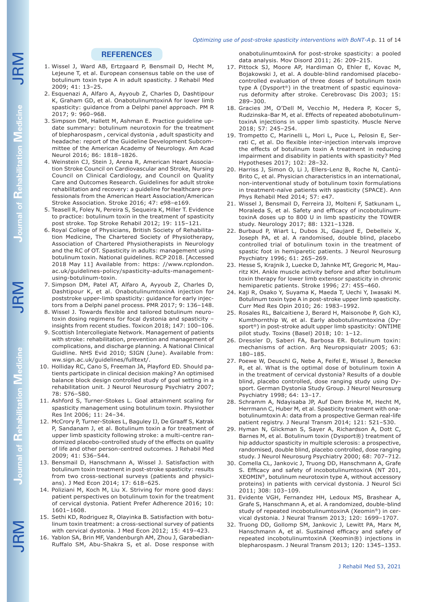#### *Optimizing use of post-stroke spasticity interventions with BoNT-A* p. 11 of 14

## **REFERENCES**

- 1. Wissel J, Ward AB, Ertzgaard P, Bensmail D, Hecht M, Lejeune T, et al. European consensus table on the use of botulinum toxin type A in adult spasticity. J Rehabil Med 2009; 41: 13–25.
- 2. Esquenazi A, Alfaro A, Ayyoub Z, Charles D, Dashtipour K, Graham GD, et al. OnabotulinumtoxinA for lower limb spasticity: guidance from a Delphi panel approach. PM R 2017; 9: 960–968.
- 3. Simpson DM, Hallett M, Ashman E. Practice guideline update summary: botulinum neurotoxin for the treatment of blepharospasm , cervical dystonia , adult spasticity and headache: report of the Guideline Development Subcommittee of the American Academy of Neurology. Am Acad Neurol 2016; 86: 1818–1826.
- 4. Weinstein CJ, Stein J, Arena R, American Heart Association Stroke Council on Cardiovascular and Stroke, Nursing Council on Clinical Cardiology, and Council on Quality Care and Outcomes Research. Guidelines for adult stroke rehabilitation and recovery: a guideline for healthcare professionals from the American Heart Association/American Stroke Association. Stroke 2016; 47: e98–e169.
- 5. Teasell R, Foley N, Pereira S, Sequeira K, Miller T. Evidence to practice: botulinum toxin in the treatment of spasticity post stroke. Top Stroke Rehabil 2012; 19: 115–121.
- 6. Royal College of Physicians, British Society of Rehabilitation Medicine, The Chartered Society of Physiotherapy, Association of Chartered Physiotherapists in Neurology and the RC of OT. Spasticity in adults: management using botulinum toxin. National guidelines. RCP 2018. [Accessed 2018 May 11] Available from: https: //www.rcplondon. ac.uk/guidelines-policy/spasticity-adults-managementusing-botulinum-toxin.
- 7. Simpson DM, Patel AT, Alfaro A, Ayyoub Z, Charles D, Dashtipour K, et al. OnabotulinumtoxinA injection for poststroke upper-limb spasticity: guidance for early injectors from a Delphi panel process. PMR 2017; 9: 136–148.
- 8. Wissel J. Towards flexible and tailored botulinum neurotoxin dosing regimens for focal dystonia and spasticity – insights from recent studies. Toxicon 2018; 147: 100–106.
- 9. Scottish Intercollegiate Network. Management of patients with stroke: rehabilitation, prevention and management of complications, and discharge planning. A National Clinical Guidline. NHS Evid 2010; SIGN (June). Available from: ww.sign.ac.uk/guidelines/fulltext/.
- 10. Holliday RC, Cano S, Freeman JA, Playford ED. Should patients participate in clinical decision making? An optimised balance block design controlled study of goal setting in a rehabilitation unit. J Neurol Neurosurg Psychiatry 2007; 78: 576–580.
- 11. Ashford S, Turner-Stokes L. Goal attainment scaling for spasticity management using botulinum toxin. Physiother Res Int 2006; 11: 24–34.
- 12. McCrory P, Turner-Stokes L, Baguley IJ, De Graaff S, Katrak P, Sandanam J, et al. Botulinum toxin a for treatment of upper limb spasticity following stroke: a multi-centre randomized placebo-controlled study of the effects on quality of life and other person-centred outcomes. J Rehabil Med 2009; 41: 536–544.
- 13. Bensmail D, Hanschmann A, Wissel J. Satisfaction with botulinum toxin treatment in post-stroke spasticity: results from two cross-sectional surveys (patients and physicians). J Med Econ 2014; 17: 618–625.
- 14. Poliziani M, Koch M, Liu X. Striving for more good days: patient perspectives on botulinum toxin for the treatment of cervical dystonia. Patient Prefer Adherence 2016; 10: 1601–1608.
- 15. Sethi KD, Rodriguez R, Olayinka B. Satisfaction with botulinum toxin treatment: a cross-sectional survey of patients with cervical dystonia. J Med Econ 2012; 15: 419–423.
- 16. Yablon SA, Brin MF, Vandenburgh AM, Zhou J, Garabedian-Ruffalo SM, Abu-Shakra S, et al. Dose response with

onabotulinumtoxinA for post-stroke spasticity: a pooled data analysis. Mov Disord 2011; 26: 209–215.

- 17. Pittock SJ, Moore AP, Hardiman O, Ehler E, Kovac M, Bojakowski J, et al. A double-blind randomised placebocontrolled evaluation of three doses of botulinum toxin type A (Dysport®) in the treatment of spastic equinovarus deformity after stroke. Cerebrovasc Dis 2003; 15: 289–300.
- 18. Gracies JM, O'Dell M, Vecchio M, Hedera P, Kocer S, Rudzinska-Bar M, et al. Effects of repeated abobotulinumtoxinA injections in upper limb spasticity. Muscle Nerve 2018; 57: 245–254.
- 19. Trompetto C, Marinelli L, Mori L, Puce L, Pelosin E, Serrati C, et al. Do flexible inter-injection intervals improve the effects of botulinum toxin A treatment in reducing impairment and disability in patients with spasticity? Med Hypotheses 2017; 102: 28–32.
- 20. Harriss J, Simon O, Li J, Ellers-Lenz B, Roche N, Cantú-Brito C, et al. Physician characteristics in an international, non-interventional study of botulinum toxin formulations in treatment-naïve patients with spasticity (SPACE). Ann Phys Rehabil Med 2014; 57: e47.
- 21. Wissel J, Bensmail D, Ferreira JJ, Molteni F, Satkunam L, Moraleda S, et al. Safety and efficacy of incobotulinumtoxinA doses up to 800 U in limb spasticity the TOWER study. Neurology 2017; 88: 1321–1328.
- 22. Burbaud P, Wiart L, Dubos JL, Gaujard E, Debelleix X, Joseph PA, et al. A randomised, double blind, placebo controlled trial of botulinum toxin in the treatment of spastic foot in hemiparetic patients. J Neurol Neurosurg Psychiatry 1996; 61: 265–269.
- 23. Hesse S, Krajnik J, Luecke D, Jahnke MT, Gregoric M, Mauritz KH. Ankle muscle activity before and after botulinum toxin therapy for lower limb extensor spasticity in chronic hemiparetic patients. Stroke 1996; 27: 455–460.
- 24. Kaji R, Osako Y, Suyama K, Maeda T, Uechi Y, Iwasaki M. Botulinum toxin type A in post-stroke upper limb spasticity. Curr Med Res Opin 2010; 26: 1983–1992.
- 25. Rosales RL, Balcaitiene J, Berard H, Maisonobe P, Goh KJ, Kumthornthip W, et al. Early abobotulinumtoxina (Dysport®) in post-stroke adult upper limb spasticity: ONTIME pilot study. Toxins (Basel) 2018; 10: 1–12.
- 26. Dressler D, Saberi FA, Barbosa ER. Botulinum toxin: mechanisms of action. Arq Neuropsiquiatr 2005; 63: 180–185.
- 27. Poewe W, Deuschl G, Nebe A, Feifel E, Wissel J, Benecke R, et al. What is the optimal dose of botulinum toxin A in the treatment of cervical dystonia? Results of a double blind, placebo controlled, dose ranging study using Dysport. German Dystonia Study Group. J Neurol Neurosurg Psychiatry 1998; 64: 13–17.
- 28. Schramm A, Ndayisaba JP, Auf Dem Brinke M, Hecht M, Herrmann C, Huber M, et al. Spasticity treatment with onabotulinumtoxin A: data from a prospective German real-life patient registry. J Neural Transm 2014; 121: 521–530.
- 29. Hyman N, Glickman S, Sayer A, Richardson A, Dott C, Barnes M, et al. Botulinum toxin (Dysport®) treatment of hip adductor spasticity in multiple sclerosis: a prospective, randomised, double blind, placebo controlled, dose ranging study. J Neurol Neurosurg Psychiatry 2000; 68: 707–712.
- 30. Comella CL, Jankovic J, Truong DD, Hanschmann A, Grafe S. Efficacy and safety of incobotulinumtoxinA (NT 201, XEOMIN®, botulinum neurotoxin type A, without accessory proteins) in patients with cervical dystonia. J Neurol Sci 2011; 308: 103–109.
- 31. Evidente VGH, Fernandez HH, Ledoux MS, Brashear A, Grafe S, Hanschmann A, et al. A randomized, double-blind study of repeated incobotulinumtoxinA (Xeomin®) in cervical dystonia. J Neural Transm 2013; 120: 1699–1707.
- 32. Truong DD, Gollomp SM, Jankovic J, Lewitt PA, Marx M, Hanschmann A, et al. Sustained efficacy and safety of repeated incobotulinumtoxinA (Xeomin®) injections in blepharospasm. J Neural Transm 2013; 120: 1345–1353.

**Journal of**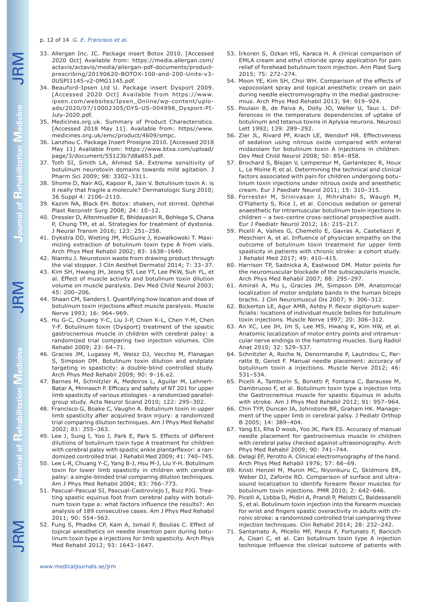#### p. 12 of 14 *G. E. Francisco et al.*

- 33. Allergan Inc. IC. Package insert Botox 2010. [Accessed 2020 Oct] Available from: https://media.allergan.com/ actavis/actavis/media/allergan-pdf-documents/productprescribing/20190620-BOTOX-100-and-200-Units-v3- 0USPI1145-v2-0MG1145.pdf.
- 34. Beauford-Ipsen Ltd U. Package insert Dysport 2009. [Accessed 2020 Oct] Available from https://www. ipsen.com/websites/Ipsen\_Online/wp-content/uploads/2020/07/10002305/DYS-US-004998\_Dysport-PI-July-2020.pdf.
- 35. Medicines.org.uk. Summary of Product Characteristics. [Accessed 2018 May 11]. Available from: https//www. medicines.org.uk/emc/product/4609/smpc.
- 36. Lanzhou C. Package Insert Prosigne 2010. [Accessed 2018 May 11] Available from: https://www.btxa.com/upload/ page/3/document/55123b7d8a853.pdf.
- 37. Toth SI, Smith LA, Ahmed SA. Extreme sensitivity of botulinum neurotoxin domains towards mild agitation. J Pharm Sci 2009; 98: 3302–3311.
- 38. Shome D, Nair AG, Kapoor R, Jain V. Botulinum toxin A: is it really that fragile a molecule? Dermatologic Surg 2010; 36 Suppl 4: 2106–2110.
- 39. Kazim NA, Black EH. Botox: shaken, not stirred. Ophthal Plast Reconstr Surg 2008; 24: 10–12.
- 40. Dressler D, Altenmueller E, Bhidayasiri R, Bohlega S, Chana P, Chung TM, et al. Strategies for treatment of dystonia. J Neural Transm 2016; 123: 251–258.
- 41. Dykstra DD, Wieting JM, McGuire J, Kowalkowski T. Maximizing extraction of botulinum toxin type A from vials. Arch Phys Med Rehabil 2002; 83: 1638–1640.
- 42. Niamtu J. Neurotoxin waste from drawing product through the vial stopper. J Clin Aesthet Dermatol 2014; 7: 33–37.
- 43. Kim SH, Hwang JH, Jeong ST, Lee YT, Lee PKW, Suh YL, et al. Effect of muscle activity and botulinum toxin dilution volume on muscle paralysis. Dev Med Child Neurol 2003; 45: 200–206.
- 44. Shaari CM, Sanders I. Quantifying how location and dose of botulinum toxin injections affect muscle paralysis. Muscle Nerve 1993; 16: 964–969.
- 45. Hu G-C, Chuang Y-C, Liu J-P, Chien K-L, Chen Y-M, Chen Y-F. Botulinum toxin (Dysport) treatment of the spastic gastrocnemius muscle in children with cerebral palsy: a randomized trial comparing two injection volumes. Clin Rehabil 2009; 23: 64–71.
- 46. Gracies JM, Lugassy M, Weisz DJ, Vecchio M, Flanagan S, Simpson DM. Botulinum toxin dilution and endplate targeting in spasticity: a double-blind controlled study. Arch Phys Med Rehabil 2009; 90: 9–16.e2.
- 47. Barnes M, Schnitzler A, Medeiros L, Aguilar M, Lehnert-Batar A, Minnasch P. Efficacy and safety of NT 201 for upper limb spasticity of various etiologies - a randomized parallelgroup study. Acta Neurol Scand 2010; 122: 295–302.
- 48. Francisco G, Boake C, Vaughn A. Botulinum toxin in upper limb spasticity after acquired brain injury: a randomized trial comparing dilution techniques. Am J Phys Med Rehabil 2002; 81: 355–363.
- 49. Lee J, Sung I, Yoo J, Park E, Park S. Effects of different dilutions of botulinum toxin type A treatment for children with cerebral palsy with spastic ankle plantarflexor: a randomized controlled trial. J Rehabil Med 2009; 41: 740–745.
- 50. Lee L-R, Chuang Y-C, Yang B-J, Hsu M-J, Liu Y-H. Botulinum toxin for lower limb spasticity in children with cerebral palsy: a single-blinded trial comparing dilution techniques. Am J Phys Med Rehabil 2004; 83: 766–773.
- 51. Pascual-Pascual SI, Pascual-Castroviejo I, Ruiz PJG. Treating spastic equinus foot from cerebral palsy with botulinum toxin type a: what factors influence the results?: An analysis of 189 consecutive cases. Am J Phys Med Rehabil 2011; 90: 554–563.
- 52. Fung S, Phadke CP, Kam A, Ismail F, Boulias C. Effect of topical anesthetics on needle insertion pain during botulinum toxin type a injections for limb spasticity. Arch Phys Med Rehabil 2012; 93: 1643–1647.
- 53. Irkoren S, Ozkan HS, Karaca H. A clinical comparison of EMLA cream and ethyl chloride spray application for pain relief of forehead botulinum toxin injection. Ann Plast Surg 2015; 75: 272–274.
- 54. Moon YE, Kim SH, Choi WH. Comparison of the effects of vapocoolant spray and topical anesthetic cream on pain during needle electromyography in the medial gastrocnemius. Arch Phys Med Rehabil 2013; 94: 919–924.
- 55. Poulain B, de Paiva A, Dolly JO, Weller U, Tauc L. Differences in the temperature dependencies of uptake of botulinum and tetanus toxins in Aplysia neurons. Neurosci Lett 1992; 139: 289–292.
- 56. Zier JL, Rivard PF, Krach LE, Wendorf HR. Effectiveness of sedation using nitrous oxide compared with enteral midazolam for botulinum toxin A injections in children. Dev Med Child Neurol 2008; 50: 854–858.
- 57. Brochard S, Blajan V, Lempereur M, Garlantezec R, Houx L, Le Moine P, et al. Determining the technical and clinical factors associated with pain for children undergoing botulinum toxin injections under nitrous oxide and anesthetic cream. Eur J Paediatr Neurol 2011; 15: 310–315.
- 58. Forrester M, Srinivasan J, Mihrshahi S, Waugh M, O'Flaherty S, Rice J, et al. Concious sedation or general anaesthetic for intramuscular botulinum toxin injections in children – a two-centre cross-sectional prospective audit. Eur J Paediatr Neurol 2012; 16: 215–217.
- 59. Picelli A, Vallies G, Chemello E, Gavras A, Castellazzi P, Meschieri A, et al. Influence of physician empathy on the outcome of botulinum toxin treatment for upper limb spasticity in patients with chronic stroke: a cohort study. J Rehabil Med 2017; 49: 410–415.
- 60. Harrison TP, Sadnicka A, Eastwood DM. Motor points for the neuromuscular blockade of the subscapularis muscle. Arch Phys Med Rehabil 2007; 88: 295–297.
- 61. Amirali A, Mu L, Gracies JM, Simpson DM. Anatomical localization of motor endplate bands in the human biceps brachii. J Clin Neuromuscul Dis 2007; 9: 306–312.
- 62. Bickerton LE, Agur AMR, Ashby P. flexor digitorum superficialis: locations of individual muscle bellies for botulinum toxin injections. Muscle Nerve 1997; 20: 306–312.
- 63. An XC, Lee JH, Im S, Lee MS, Hwang K, Kim HW, et al. Anatomic localization of motor entry points and intramuscular nerve endings in the hamstring muscles. Surg Radiol Anat 2010; 32: 529–537.
- 64. Schnitzler A, Roche N, Denormandie P, Lautridou C, Parratte B, Genet F. Manual needle placement: accuracy of botulinum toxin a injections. Muscle Nerve 2012; 46: 531–534.
- 65. Picelli A, Tamburin S, Bonetti P, Fontana C, Barausse M, Dambruoso F, et al. Botulinum toxin type a injection into the Gastrocnemius muscle for spastic Equinus in adults with stroke. Am J Phys Med Rehabil 2012; 91: 957–964.
- 66. Chin TYP, Duncan JA, Johnstone BR, Graham HK. Management of the upper limb in cerebral palsy. J Pediatr Orthop B 2005; 14: 389–404.
- 67. Yang EJ, Rha D wook, Yoo JK, Park ES. Accuracy of manual needle placement for gastrocnemius muscle in children with cerebral palsy checked against ultrasonography. Arch Phys Med Rehabil 2009; 90: 741–744.
- 68. Delagi EF, Perotto A. Clinical electromyography of the hand. Arch Phys Med Rehabil 1976; 57: 66–69.
- 69. Kristi Henzel M, Munin MC, Niyonkuru C, Skidmore ER, Weber DJ, Zafonte RD. Comparison of surface and ultrasound localization to identify forearm flexor muscles for botulinum toxin injections. PMR 2010; 2: 642–646.
- 70. Picelli A, Lobba D, Midiri A, Prandi P, Melotti C, Baldessarelli S, et al. Botulinum toxin injection into the forearm muscles for wrist and fingers spastic overactivity in adults with chronic stroke: a randomized controlled trial comparing three injection techniques. Clin Rehabil 2014; 28: 232–242.
- 71. Santamato A, Micello MF, Panza F, Fortunato F, Baricich A, Cisari C, et al. Can botulinum toxin type A injection technique influence the clinical outcome of patients with

JRM

**Journal of** 

**Rehabilitation Journal of Rehabilitation Medicine** 

**Journal of**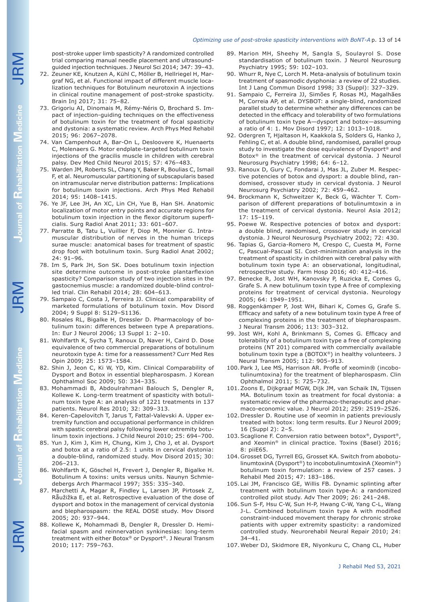post-stroke upper limb spasticity? A randomized controlled trial comparing manual needle placement and ultrasoundguided injection techniques. J Neurol Sci 2014; 347: 39–43.

- 72. Zeuner KE, Knutzen A, Kühl C, Möller B, Hellriegel H, Margraf NG, et al. Functional impact of different muscle localization techniques for Botulinum neurotoxin A injections in clinical routine management of post-stroke spasticity. Brain Inj 2017; 31: 75–82.
- 73. Grigoriu AI, Dinomais M, Rémy-Néris O, Brochard S. Impact of injection-guiding techniques on the effectiveness of botulinum toxin for the treatment of focal spasticity and dystonia: a systematic review. Arch Phys Med Rehabil 2015; 96: 2067–2078.
- 74. Van Campenhout A, Bar-On L, Desloovere K, Huenaerts C, Molenaers G. Motor endplate-targeted botulinum toxin injections of the gracilis muscle in children with cerebral palsy. Dev Med Child Neurol 2015; 57: 476–483.
- 75. Warden JM, Roberts SL, Chang Y, Baker R, Boulias C, Ismail F, et al. Neuromuscular partitioning of subscapularis based on intramuscular nerve distribution patterns: Implications for botulinum toxin injections. Arch Phys Med Rehabil 2014; 95: 1408–1415.
- 76. Ye JF, Lee JH, An XC, Lin CH, Yue B, Han SH. Anatomic localization of motor entry points and accurate regions for botulinum toxin injection in the flexor digitorum superficialis. Surg Radiol Anat 2011; 33: 601–607.
- 77. Parratte B, Tatu L, Vuillier F, Diop M, Monnier G. Intramuscular distribution of nerves in the human triceps surae muscle: anatomical bases for treatment of spastic drop foot with botulinum toxin. Surg Radiol Anat 2002; 24: 91–96.
- 78. Im S, Park JH, Son SK. Does botulinum toxin injection site determine outcome in post-stroke plantarflexion spasticity? Comparison study of two injection sites in the gastocnemius muscle: a randomized double-blind controlled trial. Clin Rehabil 2014; 28: 604–613.
- 79. Sampaio C, Costa J, Ferreira JJ. Clinical comparability of marketed formulations of botulinum toxin. Mov Disord 2004; 9 Suppl 8: S129–S1136.
- 80. Rosales RL, Bigalke H, Dressler D. Pharmacology of botulinum toxin: differences between type A preparations. In: Eur J Neurol 2006; 13 Suppl 1: 2–10.
- 81. Wohlfarth K, Sycha T, Ranoux D, Naver H, Caird D. Dose equivalence of two commercial preparations of botulinum neurotoxin type A: time for a reassessment? Curr Med Res Opin 2009; 25: 1573–1584.
- 82. Shin J, Jeon C, Ki W, YD, Kim. Clinical Comparability of Dysport and Botox in essential blepharospasm. J Korean Ophthalmol Soc 2009; 50: 334–335.
- 83. Mohammadi B, Abdoulrahmani Balouch S, Dengler R, Kollewe K. Long-term treatment of spasticity with botulinum toxin type A: an analysis of 1221 treatments in 137 patients. Neurol Res 2010; 32: 309–313.
- 84. Keren-Capelovitch T, Jarus T, Fattal-Valevski A. Upper extremity function and occupational performance in children with spastic cerebral palsy following lower extremity botulinum toxin injections. J Child Neurol 2010; 25: 694–700.
- 85. Yun J, Kim J, Kim H, Chung, Kim J, Cho J, et al. Dysport and botox at a ratio of 2.5: 1 units in cervical dystonia: a double-blind, randomized study. Mov Disord 2015; 30: 206–213.
- 86. Wohlfarth K, Göschel H, Frevert J, Dengler R, Bigalke H. Botulinum A toxins: units versus units. Naunyn Schmiedebergs Arch Pharmacol 1997; 355: 335–340.
- 87. Marchetti A, Magar R, Findley L, Larsen JP, Pirtosek Z, Råužižka E, et al. Retrospective evaluation of the dose of dysport and botox in the management of cervical dystonia and blepharospasm: the REAL DOSE study. Mov Disord 2005; 20: 937–944.
- 88. Kollewe K, Mohammadi B, Dengler R, Dressler D. Hemifacial spasm and reinnervation synkinesias: long-term treatment with either Botox® or Dysport®. J Neural Transm 2010; 117: 759–763.
- 89. Marion MH, Sheehy M, Sangla S, Soulayrol S. Dose standardisation of botulinum toxin. J Neurol Neurosurg Psychiatry 1995; 59: 102–103.
- 90. Whurr R, Nye C, Lorch M. Meta-analysis of botulinum toxin treatment of spasmodic dysphonia: a review of 22 studies. Int J Lang Commun Disord 1998; 33 (Suppl): 327–329.
- 91. Sampaio C, Ferreira JJ, Simões F, Rosas MJ, Magalhães M, Correia AP, et al. DYSBOT: a single-blind, randomized parallel study to determine whether any differences can be detected in the efficacy and tolerability of two formulations of botulinum toxin type A—dysport and botox—assuming a ratio of 4: 1. Mov Disord 1997; 12: 1013–1018.
- 92. Odergren T, Hjaltason H, Kaakkola S, Solders G, Hanko J, Fehling C, et al. A double blind, randomised, parallel group study to investigate the dose equivalence of Dysport® and Botox® in the treatment of cervical dystonia. J Neurol Neurosurg Psychiatry 1998; 64: 6–12.
- 93. Ranoux D, Gury C, Fondarai J, Mas JL, Zuber M. Respective potencies of botox and dysport: a double blind, randomised, crossover study in cervical dystonia. J Neurol Neurosurg Psychiatry 2002; 72: 459–462.
- 94. Brockmann K, Schweitzer K, Beck G, Wächter T. Comparison of different preparations of botulinumtoxin a in the treatment of cervical dystonia. Neurol Asia 2012; 17: 15–119.
- 95. Poewe W. Respective potencies of botox and dysport: a double blind, randomised, crossover study in cervical dystonia. J Neurol Neurosurg Psychiatry 2002; 72: 430.
- 96. Tapias G, Garcia-Romero M, Crespo C, Cuesta M, Forne C, Pascual-Pascual SI. Cost-minimization analysis in the treatment of spasticity in children with cerebral palsy with botulinum toxin type A: an observational, longitudinal, retrospective study. Farm Hosp 2016; 40: 412–416.
- 97. Benecke R, Jost WH, Kanovsky P, Ruzicka E, Comes G, Grafe S. A new botulinum toxin type A free of complexing proteins for treatment of cervical dystonia. Neurology 2005; 64: 1949–1951.
- 98. Roggenkämper P, Jost WH, Bihari K, Comes G, Grafe S. Efficacy and safety of a new botulinum toxin type A free of complexing proteins in the treatment of blepharospasm. J Neural Transm 2006; 113: 303–312.
- 99. Jost WH, Kohl A, Brinkmann S, Comes G. Efficacy and tolerability of a botulinum toxin type a free of complexing proteins (NT 201) compared with commercially available botulinum toxin type a (BOTOX®) in healthy volunteers. J Neural Transm 2005; 112: 905–913.
- 100.Park J, Lee MS, Harrison AR. Profle of xeomin® (incobotulinumtoxina) for the treatment of blepharospasm. Clin Ophthalmol 2011; 5: 725–732.
- 101.Zoons E, Dijkgraaf MGW, Dijk JM, van Schaik IN, Tijssen MA. Botulinum toxin as treatment for focal dystonia: a systematic review of the pharmaco-therapeutic and pharmaco-economic value. J Neurol 2012; 259: 2519–2526.
- 102.Dressler D. Routine use of xeomin in patients previously treated with botox: long term results. Eur J Neurol 2009; 16 (Suppl 2): 2–5.
- 103.Scaglione F. Conversion ratio between botox®, Dysport®, and Xeomin® in clinical practice. Toxins (Basel) 2016; 8: piiE65.
- 104.Grosset DG, Tyrrell EG, Grosset KA. Switch from abobotulinumtoxinA (Dysport®) to incobotulinumtoxinA (Xeomin®) botulinum toxin formulation: a review of 257 cases. J Rehabil Med 2015; 47: 183–186.
- 105. Lai JM, Francisco GE, Willis FB. Dynamic splinting after treatment with botulinum toxin type-A: a randomized controlled pilot study. Adv Ther 2009; 26: 241–248.
- 106.Sun S-F, Hsu C-W, Sun H-P, Hwang C-W, Yang C-L, Wang J-L. Combined botulinum toxin type A with modified constraint-induced movement therapy for chronic stroke patients with upper extremity spasticity: a randomized controlled study. Neurorehabil Neural Repair 2010; 24: 34–41.
- 107.Weber DJ, Skidmore ER, Niyonkuru C, Chang CL, Huber